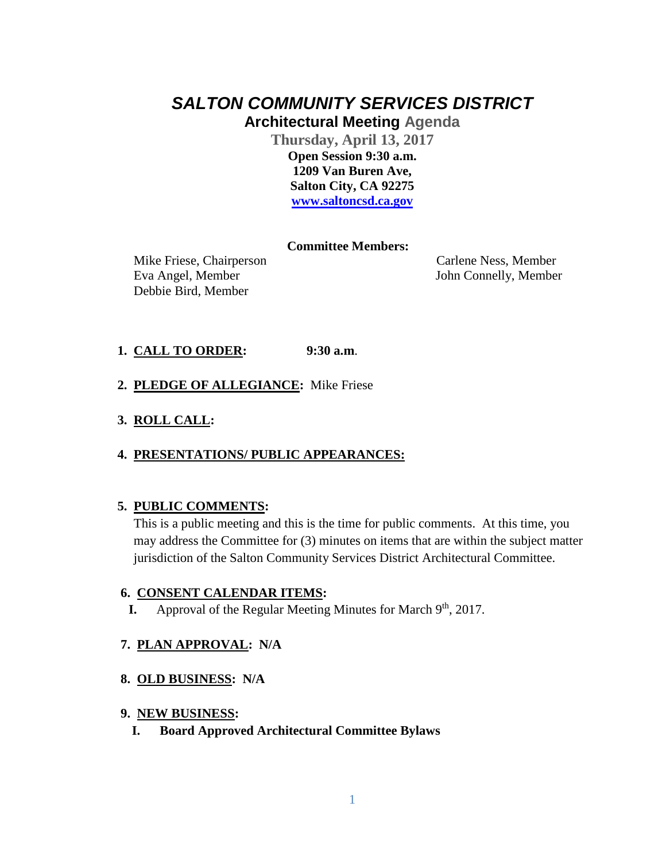# *SALTON COMMUNITY SERVICES DISTRICT* **Architectural Meeting Agenda**

**Thursday, April 13, 2017 Open Session 9:30 a.m. 1209 Van Buren Ave, Salton City, CA 92275 [www.saltoncsd.ca.gov](http://www.saltoncsd.ca.gov/)**

# **Committee Members:**

 Mike Friese, Chairperson Carlene Ness, Member Eva Angel, Member John Connelly, Member Debbie Bird, Member

# **1. CALL TO ORDER: 9:30 a.m**.

- **2. PLEDGE OF ALLEGIANCE:** Mike Friese
- **3. ROLL CALL:**

# **4. PRESENTATIONS/ PUBLIC APPEARANCES:**

# **5. PUBLIC COMMENTS:**

This is a public meeting and this is the time for public comments. At this time, you may address the Committee for (3) minutes on items that are within the subject matter jurisdiction of the Salton Community Services District Architectural Committee.

# **6. CONSENT CALENDAR ITEMS:**

**I.** Approval of the Regular Meeting Minutes for March 9<sup>th</sup>, 2017.

# **7. PLAN APPROVAL: N/A**

# **8. OLD BUSINESS: N/A**

#### **9. NEW BUSINESS:**

**I. Board Approved Architectural Committee Bylaws**